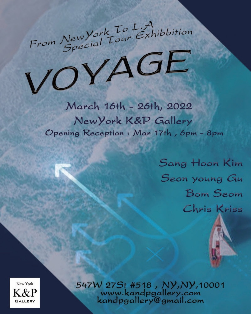

VOYAGE

March 16th - 26th, 2022 New York K&P Gallery Opening Reception: Mar 17th, 6pm - 8pm

> Sang Hoon Kim Seon young Gu **Bom Seom** Chris Kriss

New York K&P **GALLERY** 

547W 27S+ #518, NY, NY, 10001 www.kandpgallery.com kandpgallery@gmail.com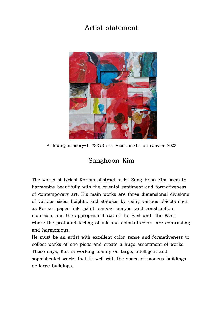

 **A flowing memory-1, 73X73 cm, Mixed media on canvas, 2022**

## **Sanghoon Kim**

**The works of lyrical Korean abstract artist Sang-Hoon Kim seem to harmonize beautifully with the oriental sentiment and formativeness of contemporary art. His main works are three-dimensional divisions of various sizes, heights, and statuses by using various objects such as Korean paper, ink, paint, canvas, acrylic, and construction materials, and the appropriate flaws of the East and the West, where the profound feeling of ink and colorful colors are contrasting and harmonious.** 

**He must be an artist with excellent color sense and formativeness to collect works of one piece and create a huge assortment of works. These days, Kim is working mainly on large, intelligent and sophisticated works that fit well with the space of modern buildings or large buildings.**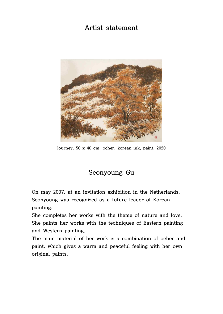

**Journey, 50 x 40 cm, ocher, korean ink, paint, 2020**

## **Seonyoung Gu**

**On may 2007, at an invitation exhibition in the Netherlands. Seonyoung was recognized as a future leader of Korean painting.** 

**She completes her works with the theme of nature and love. She paints her works with the techniques of Eastern painting and Western painting.**

**The main material of her work is a combination of ocher and paint, which gives a warm and peaceful feeling with her own original paints.**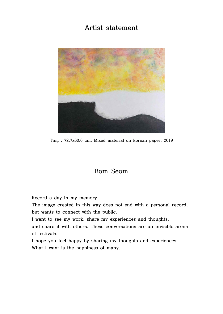

**Ting , 72.7x60.6 cm, Mixed material on korean paper, 2019**

#### **Bom Seom**

**Record a day in my memory.**

**The image created in this way does not end with a personal record, but wants to connect with the public.**

**I want to see my work, share my experiences and thoughts,** 

**and share it with others. These conversations are an invisible arena of festivals.**

**I hope you feel happy by sharing my thoughts and experiences. What I want is the happiness of many.**